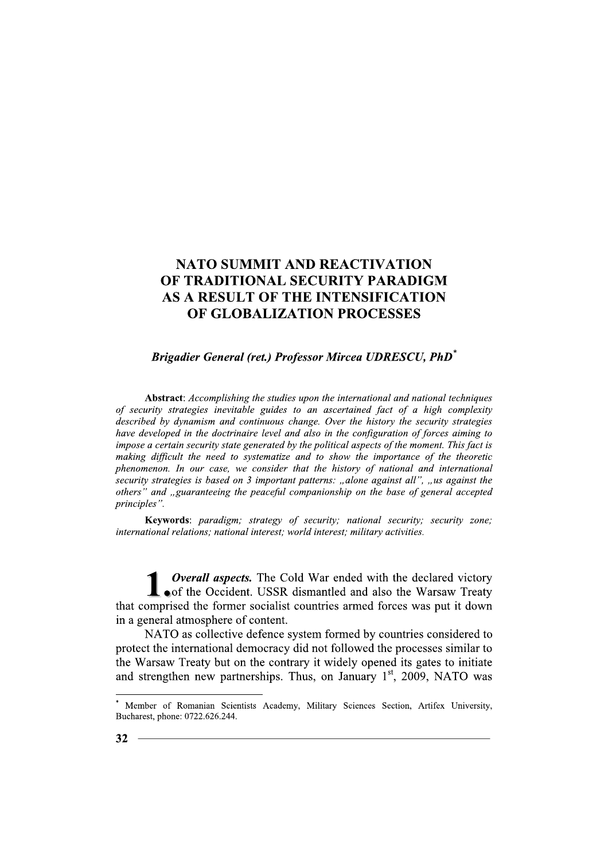# **Brigadier General (ret.) Professor Mircea UDRESCU, PhD<sup>\*</sup>**

Abstract: Accomplishing the studies upon the international and national techniques of security strategies inevitable guides to an ascertained fact of a high complexity described by dynamism and continuous change. Over the history the security strategies have developed in the doctrinaire level and also in the configuration of forces aiming to impose a certain security state generated by the political aspects of the moment. This fact is making difficult the need to systematize and to show the importance of the theoretic phenomenon. In our case, we consider that the history of national and international security strategies is based on 3 important patterns: "alone against all", "us against the others" and "guaranteeing the peaceful companionship on the base of general accepted principles".

Keywords: paradigm; strategy of security; national security; security zone; international relations; national interest; world interest; military activities.

**Overall aspects.** The Cold War ended with the declared victory of the Occident. USSR dismantled and also the Warsaw Treaty that comprised the former socialist countries armed forces was put it down in a general atmosphere of content.

NATO as collective defence system formed by countries considered to protect the international democracy did not followed the processes similar to the Warsaw Treaty but on the contrary it widely opened its gates to initiate and strengthen new partnerships. Thus, on January  $1<sup>st</sup>$ , 2009, NATO was

Member of Romanian Scientists Academy, Military Sciences Section, Artifex University, Bucharest, phone: 0722.626.244.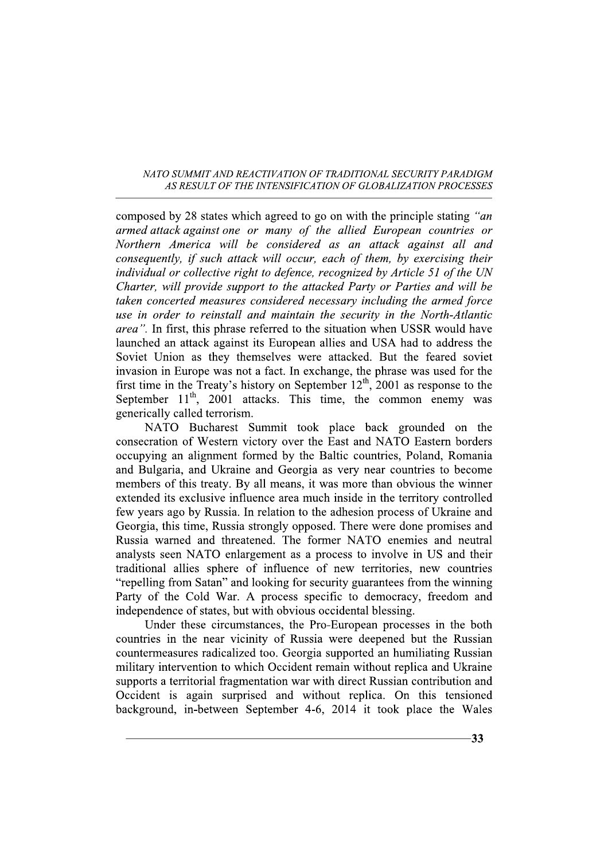composed by 28 states which agreed to go on with the principle stating "an armed attack against one or many of the allied European countries or Northern America will be considered as an attack against all and consequently, if such attack will occur, each of them, by exercising their individual or collective right to defence, recognized by Article 51 of the UN Charter, will provide support to the attacked Party or Parties and will be taken concerted measures considered necessary including the armed force use in order to reinstall and maintain the security in the North-Atlantic area". In first, this phrase referred to the situation when USSR would have launched an attack against its European allies and USA had to address the Soviet Union as they themselves were attacked. But the feared soviet invasion in Europe was not a fact. In exchange, the phrase was used for the first time in the Treaty's history on September  $12^{th}$ , 2001 as response to the September  $11<sup>th</sup>$ , 2001 attacks. This time, the common enemy was generically called terrorism.

NATO Bucharest Summit took place back grounded on the consecration of Western victory over the East and NATO Eastern borders occupying an alignment formed by the Baltic countries, Poland, Romania and Bulgaria, and Ukraine and Georgia as very near countries to become members of this treaty. By all means, it was more than obvious the winner extended its exclusive influence area much inside in the territory controlled few years ago by Russia. In relation to the adhesion process of Ukraine and Georgia, this time, Russia strongly opposed. There were done promises and Russia warned and threatened. The former NATO enemies and neutral analysts seen NATO enlargement as a process to involve in US and their traditional allies sphere of influence of new territories, new countries "repelling from Satan" and looking for security guarantees from the winning Party of the Cold War. A process specific to democracy, freedom and independence of states, but with obvious occidental blessing.

Under these circumstances, the Pro-European processes in the both countries in the near vicinity of Russia were deepened but the Russian countermeasures radicalized too. Georgia supported an humiliating Russian military intervention to which Occident remain without replica and Ukraine supports a territorial fragmentation war with direct Russian contribution and Occident is again surprised and without replica. On this tensioned background, in-between September 4-6, 2014 it took place the Wales

 $-33$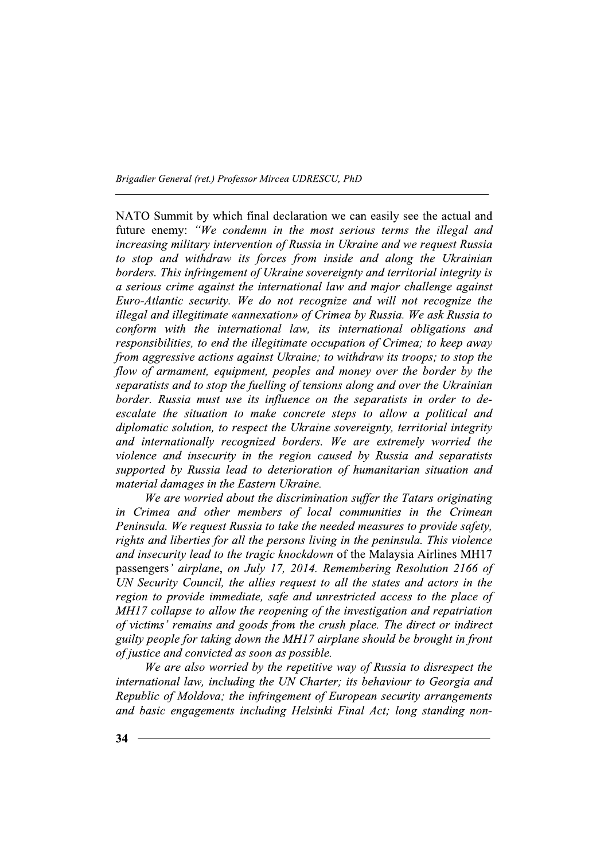NATO Summit by which final declaration we can easily see the actual and future enemy: "We condemn in the most serious terms the illegal and increasing military intervention of Russia in Ukraine and we request Russia to stop and withdraw its forces from inside and along the Ukrainian borders. This infringement of Ukraine sovereignty and territorial integrity is a serious crime against the international law and major challenge against Euro-Atlantic security. We do not recognize and will not recognize the illegal and illegitimate «annexation» of Crimea by Russia. We ask Russia to conform with the international law, its international obligations and responsibilities, to end the illegitimate occupation of Crimea; to keep away from aggressive actions against Ukraine; to withdraw its troops; to stop the flow of armament, equipment, peoples and money over the border by the separatists and to stop the fuelling of tensions along and over the Ukrainian border. Russia must use its influence on the separatists in order to deescalate the situation to make concrete steps to allow a political and diplomatic solution, to respect the Ukraine sovereignty, territorial integrity and internationally recognized borders. We are extremely worried the violence and insecurity in the region caused by Russia and separatists supported by Russia lead to deterioration of humanitarian situation and material damages in the Eastern Ukraine.

We are worried about the discrimination suffer the Tatars originating in Crimea and other members of local communities in the Crimean Peninsula. We request Russia to take the needed measures to provide safety, rights and liberties for all the persons living in the peninsula. This violence and insecurity lead to the tragic knockdown of the Malaysia Airlines MH17 passengers' airplane, on July 17, 2014. Remembering Resolution 2166 of UN Security Council, the allies request to all the states and actors in the region to provide immediate, safe and unrestricted access to the place of MH17 collapse to allow the reopening of the investigation and repatriation of victims' remains and goods from the crush place. The direct or indirect guilty people for taking down the MH17 airplane should be brought in front of justice and convicted as soon as possible.

We are also worried by the repetitive way of Russia to disrespect the international law, including the UN Charter; its behaviour to Georgia and Republic of Moldova; the infringement of European security arrangements and basic engagements including Helsinki Final Act; long standing non-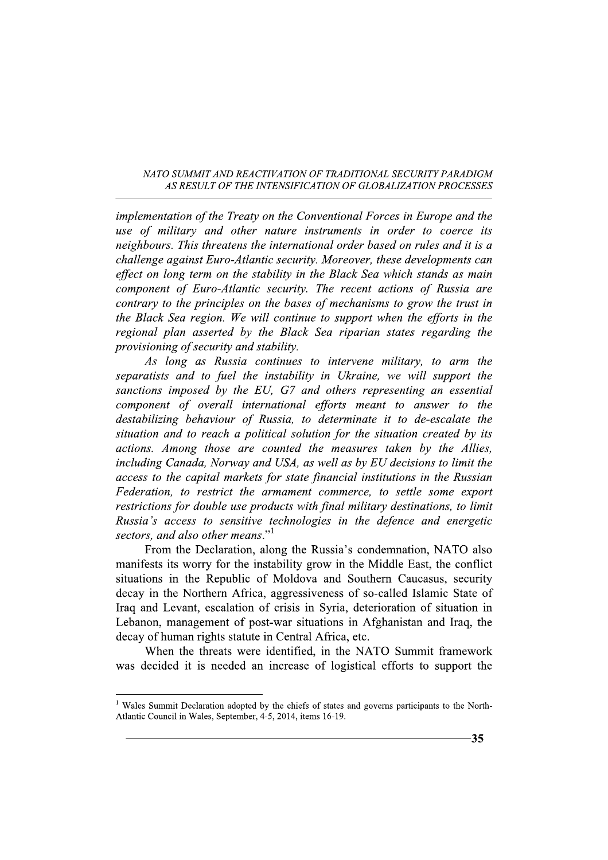implementation of the Treaty on the Conventional Forces in Europe and the use of military and other nature instruments in order to coerce its neighbours. This threatens the international order based on rules and it is a challenge against Euro-Atlantic security. Moreover, these developments can effect on long term on the stability in the Black Sea which stands as main component of Euro-Atlantic security. The recent actions of Russia are contrary to the principles on the bases of mechanisms to grow the trust in the Black Sea region. We will continue to support when the efforts in the regional plan asserted by the Black Sea riparian states regarding the provisioning of security and stability.

As long as Russia continues to intervene military, to arm the separatists and to fuel the instability in Ukraine, we will support the sanctions imposed by the EU, G7 and others representing an essential component of overall international efforts meant to answer to the destabilizing behaviour of Russia, to determinate it to de-escalate the situation and to reach a political solution for the situation created by its actions. Among those are counted the measures taken by the Allies, including Canada, Norway and USA, as well as by EU decisions to limit the access to the capital markets for state financial institutions in the Russian Federation, to restrict the armament commerce, to settle some export restrictions for double use products with final military destinations, to limit Russia's access to sensitive technologies in the defence and energetic sectors, and also other means."<sup>1</sup>

From the Declaration, along the Russia's condemnation, NATO also manifests its worry for the instability grow in the Middle East, the conflict situations in the Republic of Moldova and Southern Caucasus, security decay in the Northern Africa, aggressiveness of so-called Islamic State of Iraq and Levant, escalation of crisis in Syria, deterioration of situation in Lebanon, management of post-war situations in Afghanistan and Iraq, the decay of human rights statute in Central Africa, etc.

When the threats were identified, in the NATO Summit framework was decided it is needed an increase of logistical efforts to support the

<sup>&</sup>lt;sup>1</sup> Wales Summit Declaration adopted by the chiefs of states and governs participants to the North-Atlantic Council in Wales, September, 4-5, 2014, items 16-19.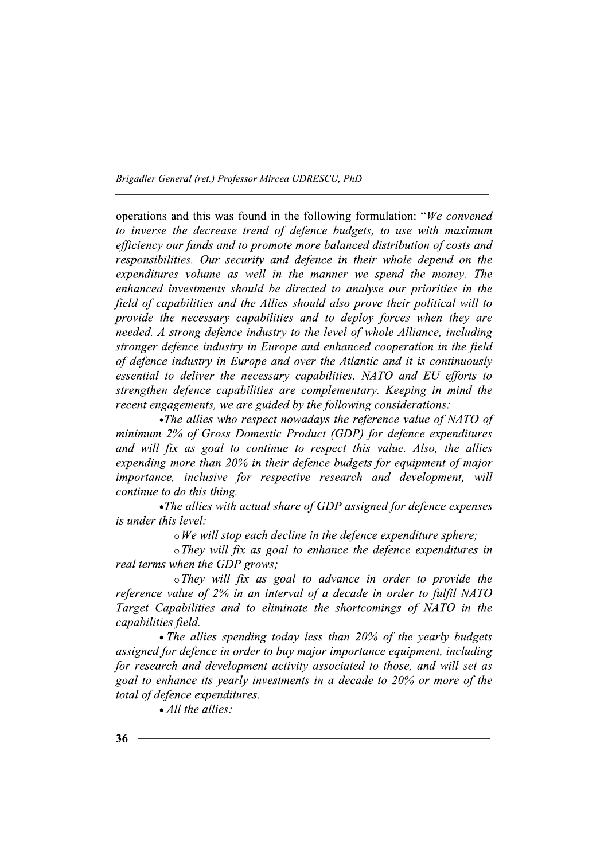operations and this was found in the following formulation: "We convened to inverse the decrease trend of defence budgets, to use with maximum efficiency our funds and to promote more balanced distribution of costs and responsibilities. Our security and defence in their whole depend on the expenditures volume as well in the manner we spend the money. The enhanced investments should be directed to analyse our priorities in the field of capabilities and the Allies should also prove their political will to provide the necessary capabilities and to deploy forces when they are needed. A strong defence industry to the level of whole Alliance, including stronger defence industry in Europe and enhanced cooperation in the field of defence industry in Europe and over the Atlantic and it is continuously essential to deliver the necessary capabilities. NATO and EU efforts to strengthen defence capabilities are complementary. Keeping in mind the recent engagements, we are guided by the following considerations:

• The allies who respect nowadays the reference value of NATO of minimum 2% of Gross Domestic Product (GDP) for defence expenditures and will fix as goal to continue to respect this value. Also, the allies expending more than 20% in their defence budgets for equipment of major importance, inclusive for respective research and development, will continue to do this thing.

•The allies with actual share of GDP assigned for defence expenses *is under this level:* 

 $\circ$  We will stop each decline in the defence expenditure sphere;

 $\circ$ They will fix as goal to enhance the defence expenditures in real terms when the GDP grows;

 $\circ$ They will fix as goal to advance in order to provide the reference value of 2% in an interval of a decade in order to fulfil NATO Target Capabilities and to eliminate the shortcomings of NATO in the capabilities field.

• The allies spending today less than 20% of the yearly budgets assigned for defence in order to buy major importance equipment, including for research and development activity associated to those, and will set as goal to enhance its yearly investments in a decade to 20% or more of the total of defence expenditures.

 $\bullet$  All the allies: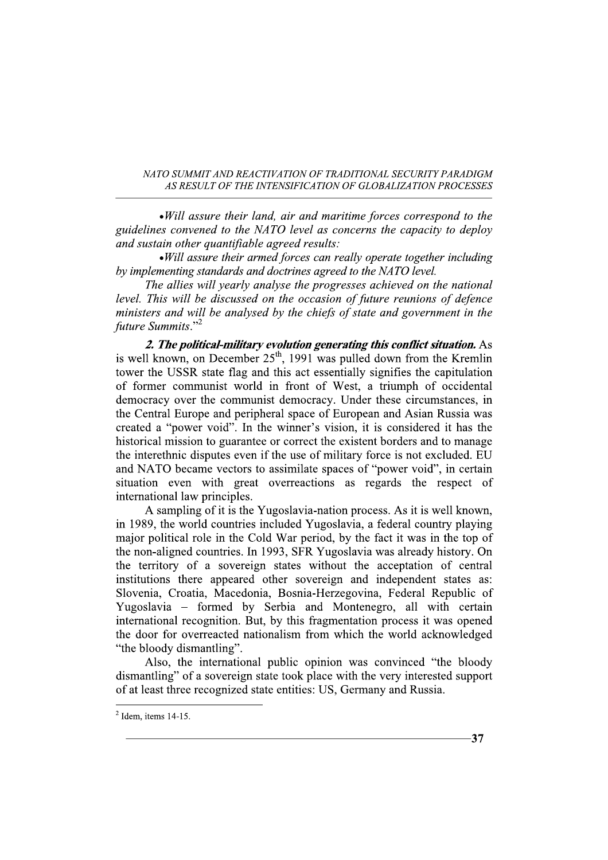• Will assure their land, air and maritime forces correspond to the guidelines convened to the NATO level as concerns the capacity to deploy and sustain other quantifiable agreed results:

• Will assure their armed forces can really operate together including by implementing standards and doctrines agreed to the NATO level.

The allies will yearly analyse the progresses achieved on the national level. This will be discussed on the occasion of future reunions of defence ministers and will be analysed by the chiefs of state and government in the future Summits."<sup>2</sup>

2. The political-military evolution generating this conflict situation. As is well known, on December 25<sup>th</sup>, 1991 was pulled down from the Kremlin tower the USSR state flag and this act essentially signifies the capitulation of former communist world in front of West, a triumph of occidental democracy over the communist democracy. Under these circumstances, in the Central Europe and peripheral space of European and Asian Russia was created a "power void". In the winner's vision, it is considered it has the historical mission to guarantee or correct the existent borders and to manage the interethnic disputes even if the use of military force is not excluded. EU and NATO became vectors to assimilate spaces of "power void", in certain situation even with great overreactions as regards the respect of international law principles.

A sampling of it is the Yugoslavia-nation process. As it is well known, in 1989, the world countries included Yugoslavia, a federal country playing major political role in the Cold War period, by the fact it was in the top of the non-aligned countries. In 1993, SFR Yugoslavia was already history. On the territory of a sovereign states without the acceptation of central institutions there appeared other sovereign and independent states as: Slovenia, Croatia, Macedonia, Bosnia-Herzegovina, Federal Republic of Yugoslavia – formed by Serbia and Montenegro, all with certain international recognition. But, by this fragmentation process it was opened the door for overreacted nationalism from which the world acknowledged "the bloody dismantling".

Also, the international public opinion was convinced "the bloody" dismantling" of a sovereign state took place with the very interested support of at least three recognized state entities: US, Germany and Russia.

 $-37$ 

 $2$  Idem, items 14-15.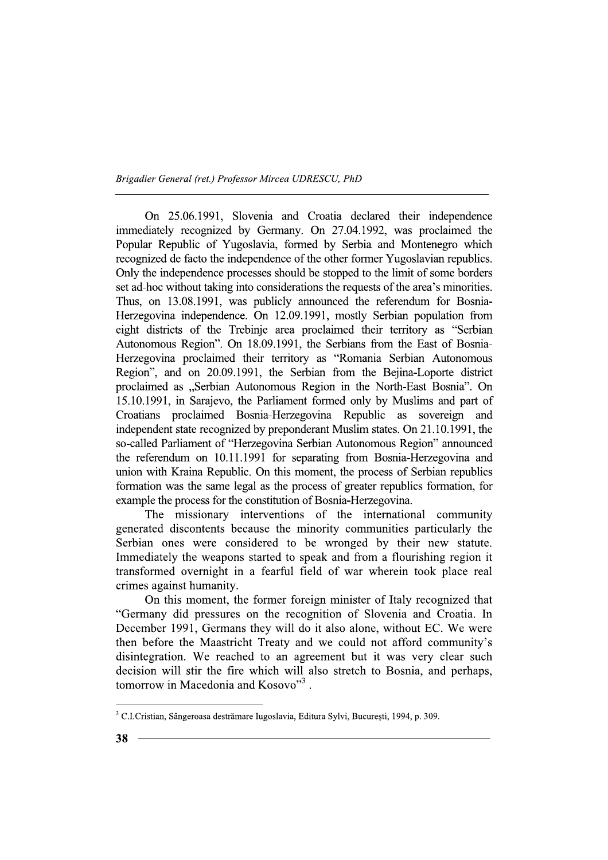On 25.06.1991, Slovenia and Croatia declared their independence immediately recognized by Germany. On 27.04.1992, was proclaimed the Popular Republic of Yugoslavia, formed by Serbia and Montenegro which recognized de facto the independence of the other former Yugoslavian republics. Only the independence processes should be stopped to the limit of some borders set ad-hoc without taking into considerations the requests of the area's minorities. Thus, on 13.08.1991, was publicly announced the referendum for Bosnia-Herzegovina independence. On 12.09.1991, mostly Serbian population from eight districts of the Trebinje area proclaimed their territory as "Serbian Autonomous Region". On 18.09.1991, the Serbians from the East of Bosnia-Herzegovina proclaimed their territory as "Romania Serbian Autonomous Region", and on 20.09.1991, the Serbian from the Bejina-Loporte district proclaimed as "Serbian Autonomous Region in the North-East Bosnia". On 15.10.1991, in Sarajevo, the Parliament formed only by Muslims and part of Croatians proclaimed Bosnia-Herzegovina Republic as sovereign and independent state recognized by preponderant Muslim states. On 21.10.1991, the so-called Parliament of "Herzegovina Serbian Autonomous Region" announced the referendum on 10.11.1991 for separating from Bosnia-Herzegovina and union with Kraina Republic. On this moment, the process of Serbian republics formation was the same legal as the process of greater republics formation, for example the process for the constitution of Bosnia-Herzegovina.

The missionary interventions of the international community generated discontents because the minority communities particularly the Serbian ones were considered to be wronged by their new statute. Immediately the weapons started to speak and from a flourishing region it transformed overnight in a fearful field of war wherein took place real crimes against humanity.

On this moment, the former foreign minister of Italy recognized that "Germany did pressures on the recognition of Slovenia and Croatia. In December 1991, Germans they will do it also alone, without EC. We were then before the Maastricht Treaty and we could not afford community's disintegration. We reached to an agreement but it was very clear such decision will stir the fire which will also stretch to Bosnia, and perhaps, tomorrow in Macedonia and Kosovo"<sup>3</sup>.

<sup>&</sup>lt;sup>3</sup> C.I.Cristian, Sângeroasa destrămare Iugoslavia, Editura Sylvi, București, 1994, p. 309.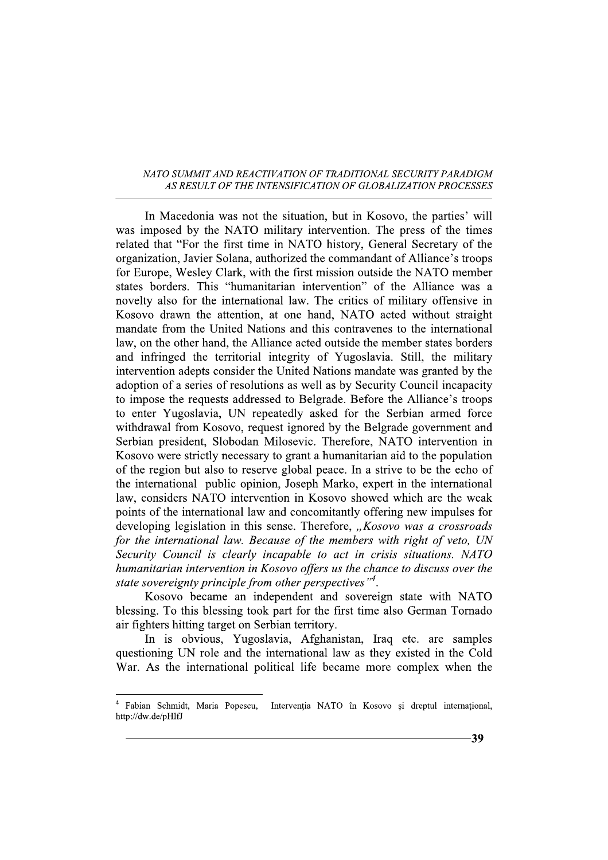In Macedonia was not the situation, but in Kosovo, the parties' will was imposed by the NATO military intervention. The press of the times related that "For the first time in NATO history, General Secretary of the organization, Javier Solana, authorized the commandant of Alliance's troops for Europe, Wesley Clark, with the first mission outside the NATO member states borders. This "humanitarian intervention" of the Alliance was a novelty also for the international law. The critics of military offensive in Kosovo drawn the attention, at one hand, NATO acted without straight mandate from the United Nations and this contravenes to the international law, on the other hand, the Alliance acted outside the member states borders and infringed the territorial integrity of Yugoslavia. Still, the military intervention adepts consider the United Nations mandate was granted by the adoption of a series of resolutions as well as by Security Council incapacity to impose the requests addressed to Belgrade. Before the Alliance's troops to enter Yugoslavia, UN repeatedly asked for the Serbian armed force withdrawal from Kosovo, request ignored by the Belgrade government and Serbian president, Slobodan Milosevic. Therefore, NATO intervention in Kosovo were strictly necessary to grant a humanitarian aid to the population of the region but also to reserve global peace. In a strive to be the echo of the international public opinion, Joseph Marko, expert in the international law, considers NATO intervention in Kosovo showed which are the weak points of the international law and concomitantly offering new impulses for developing legislation in this sense. Therefore, "Kosovo was a crossroads for the international law. Because of the members with right of veto, UN Security Council is clearly incapable to act in crisis situations. NATO humanitarian intervention in Kosovo offers us the chance to discuss over the state sovereignty principle from other perspectives"<sup>4</sup>.

Kosovo became an independent and sovereign state with NATO blessing. To this blessing took part for the first time also German Tornado air fighters hitting target on Serbian territory.

In is obvious, Yugoslavia, Afghanistan, Iraq etc. are samples questioning UN role and the international law as they existed in the Cold War. As the international political life became more complex when the

Fabian Schmidt, Maria Popescu, Intervenția NATO în Kosovo și dreptul internațional, http://dw.de/pHlfJ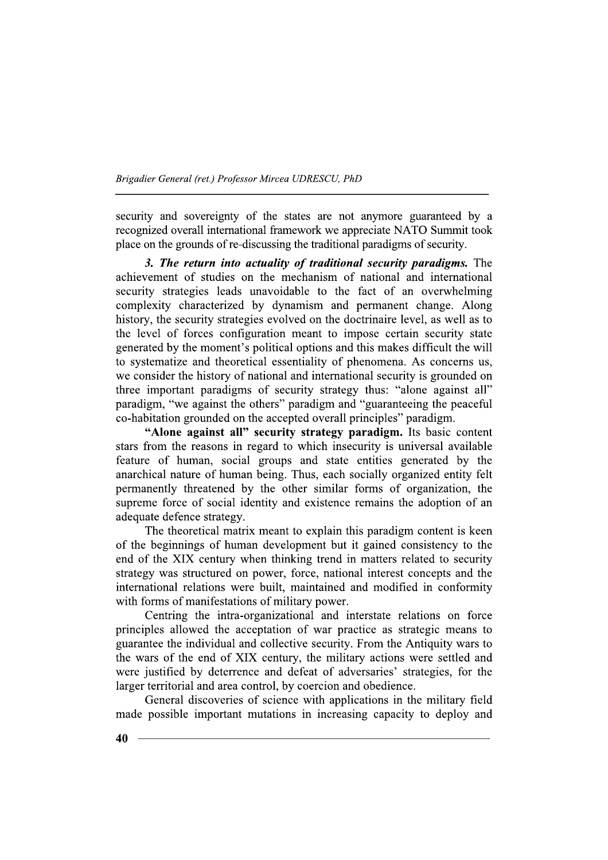security and sovereignty of the states are not anymore guaranteed by a recognized overall international framework we appreciate NATO Summit took place on the grounds of re-discussing the traditional paradigms of security.

3. The return into actuality of traditional security paradigms. The achievement of studies on the mechanism of national and international security strategies leads unavoidable to the fact of an overwhelming complexity characterized by dynamism and permanent change. Along history, the security strategies evolved on the doctrinaire level, as well as to the level of forces configuration meant to impose certain security state generated by the moment's political options and this makes difficult the will to systematize and theoretical essentiality of phenomena. As concerns us, we consider the history of national and international security is grounded on three important paradigms of security strategy thus: "alone against all" paradigm, "we against the others" paradigm and "guaranteeing the peaceful co-habitation grounded on the accepted overall principles" paradigm.

"Alone against all" security strategy paradigm. Its basic content stars from the reasons in regard to which insecurity is universal available feature of human, social groups and state entities generated by the anarchical nature of human being. Thus, each socially organized entity felt permanently threatened by the other similar forms of organization, the supreme force of social identity and existence remains the adoption of an adequate defence strategy.

The theoretical matrix meant to explain this paradigm content is keen of the beginnings of human development but it gained consistency to the end of the XIX century when thinking trend in matters related to security strategy was structured on power, force, national interest concepts and the international relations were built, maintained and modified in conformity with forms of manifestations of military power.

Centring the intra-organizational and interstate relations on force principles allowed the acceptation of war practice as strategic means to guarantee the individual and collective security. From the Antiquity wars to the wars of the end of XIX century, the military actions were settled and were justified by deterrence and defeat of adversaries' strategies, for the larger territorial and area control, by coercion and obedience.

General discoveries of science with applications in the military field made possible important mutations in increasing capacity to deploy and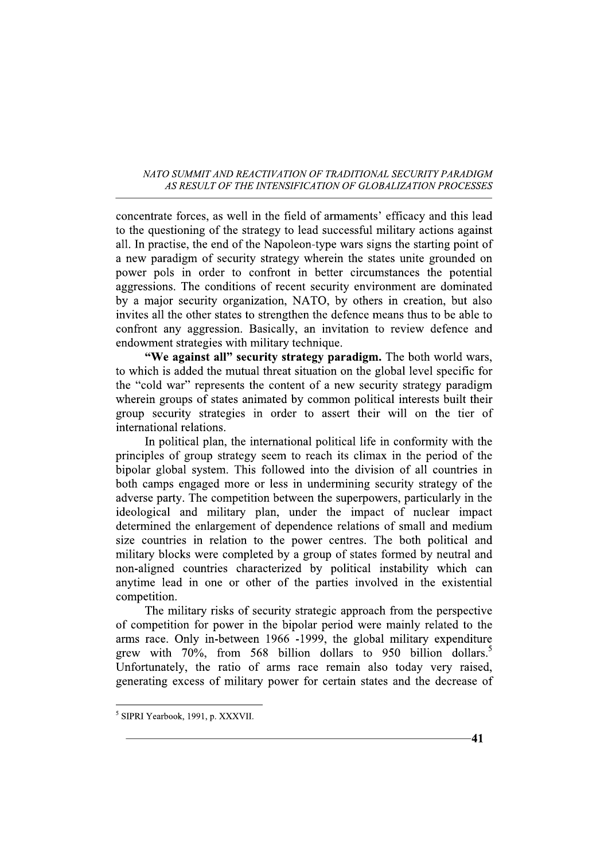concentrate forces, as well in the field of armaments' efficacy and this lead to the questioning of the strategy to lead successful military actions against all. In practise, the end of the Napoleon-type wars signs the starting point of a new paradigm of security strategy wherein the states unite grounded on power pols in order to confront in better circumstances the potential aggressions. The conditions of recent security environment are dominated by a major security organization, NATO, by others in creation, but also invites all the other states to strengthen the defence means thus to be able to confront any aggression. Basically, an invitation to review defence and endowment strategies with military technique.

"We against all" security strategy paradigm. The both world wars, to which is added the mutual threat situation on the global level specific for the "cold war" represents the content of a new security strategy paradigm wherein groups of states animated by common political interests built their group security strategies in order to assert their will on the tier of international relations.

In political plan, the international political life in conformity with the principles of group strategy seem to reach its climax in the period of the bipolar global system. This followed into the division of all countries in both camps engaged more or less in undermining security strategy of the adverse party. The competition between the superpowers, particularly in the ideological and military plan, under the impact of nuclear impact determined the enlargement of dependence relations of small and medium size countries in relation to the power centres. The both political and military blocks were completed by a group of states formed by neutral and non-aligned countries characterized by political instability which can anytime lead in one or other of the parties involved in the existential competition.

The military risks of security strategic approach from the perspective of competition for power in the bipolar period were mainly related to the arms race. Only in-between 1966 -1999, the global military expenditure grew with 70%, from 568 billion dollars to 950 billion dollars.<sup>5</sup> Unfortunately, the ratio of arms race remain also today very raised, generating excess of military power for certain states and the decrease of

<sup>&</sup>lt;sup>5</sup> SIPRI Yearbook, 1991, p. XXXVII.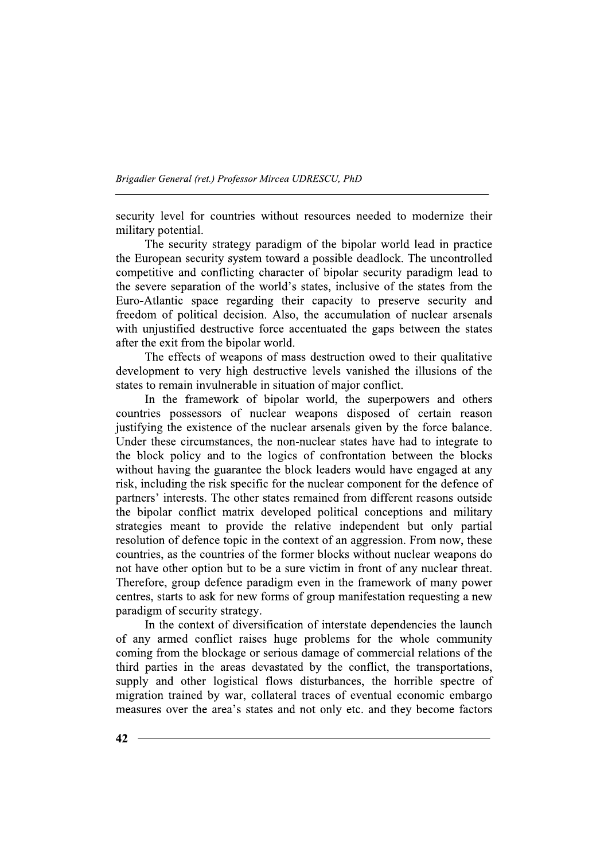security level for countries without resources needed to modernize their military potential.

The security strategy paradigm of the bipolar world lead in practice the European security system toward a possible deadlock. The uncontrolled competitive and conflicting character of bipolar security paradigm lead to the severe separation of the world's states, inclusive of the states from the Euro-Atlantic space regarding their capacity to preserve security and freedom of political decision. Also, the accumulation of nuclear arsenals with unjustified destructive force accentuated the gaps between the states after the exit from the bipolar world.

The effects of weapons of mass destruction owed to their qualitative development to very high destructive levels vanished the illusions of the states to remain invulnerable in situation of major conflict.

In the framework of bipolar world, the superpowers and others countries possessors of nuclear weapons disposed of certain reason justifying the existence of the nuclear arsenals given by the force balance. Under these circumstances, the non-nuclear states have had to integrate to the block policy and to the logics of confrontation between the blocks without having the guarantee the block leaders would have engaged at any risk, including the risk specific for the nuclear component for the defence of partners' interests. The other states remained from different reasons outside the bipolar conflict matrix developed political conceptions and military strategies meant to provide the relative independent but only partial resolution of defence topic in the context of an aggression. From now, these countries, as the countries of the former blocks without nuclear weapons do not have other option but to be a sure victim in front of any nuclear threat. Therefore, group defence paradigm even in the framework of many power centres, starts to ask for new forms of group manifestation requesting a new paradigm of security strategy.

In the context of diversification of interstate dependencies the launch of any armed conflict raises huge problems for the whole community coming from the blockage or serious damage of commercial relations of the third parties in the areas devastated by the conflict, the transportations, supply and other logistical flows disturbances, the horrible spectre of migration trained by war, collateral traces of eventual economic embargo measures over the area's states and not only etc. and they become factors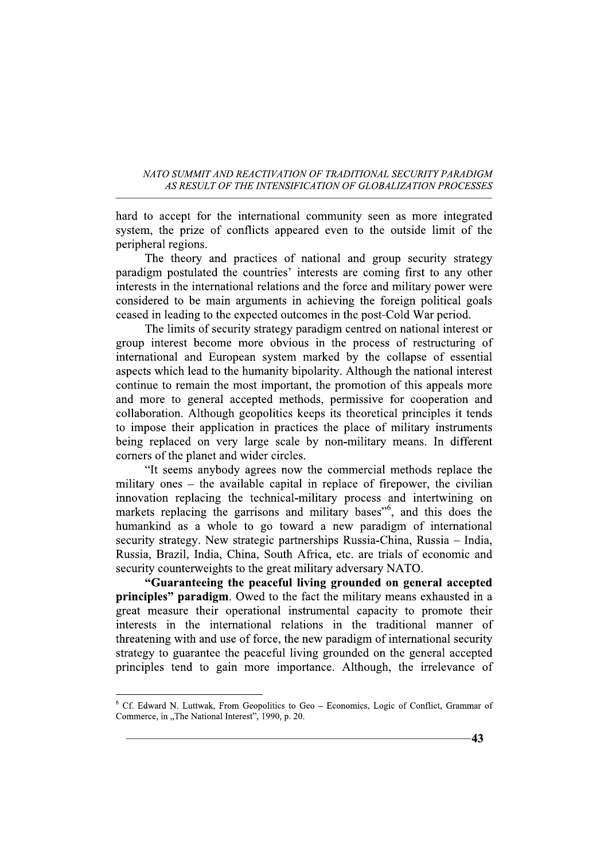hard to accept for the international community seen as more integrated system, the prize of conflicts appeared even to the outside limit of the peripheral regions.

The theory and practices of national and group security strategy paradigm postulated the countries' interests are coming first to any other interests in the international relations and the force and military power were considered to be main arguments in achieving the foreign political goals ceased in leading to the expected outcomes in the post-Cold War period.

The limits of security strategy paradigm centred on national interest or group interest become more obvious in the process of restructuring of international and European system marked by the collapse of essential aspects which lead to the humanity bipolarity. Although the national interest continue to remain the most important, the promotion of this appeals more and more to general accepted methods, permissive for cooperation and collaboration. Although geopolitics keeps its theoretical principles it tends to impose their application in practices the place of military instruments being replaced on very large scale by non-military means. In different corners of the planet and wider circles.

"It seems anybody agrees now the commercial methods replace the military ones – the available capital in replace of firepower, the civilian innovation replacing the technical-military process and intertwining on markets replacing the garrisons and military bases<sup>"6</sup>, and this does the humankind as a whole to go toward a new paradigm of international security strategy. New strategic partnerships Russia-China, Russia – India, Russia, Brazil, India, China, South Africa, etc. are trials of economic and security counterweights to the great military adversary NATO.

"Guaranteeing the peaceful living grounded on general accepted principles" paradigm. Owed to the fact the military means exhausted in a great measure their operational instrumental capacity to promote their interests in the international relations in the traditional manner of threatening with and use of force, the new paradigm of international security strategy to guarantee the peaceful living grounded on the general accepted principles tend to gain more importance. Although, the irrelevance of

 $6$  Cf. Edward N. Luttwak, From Geopolitics to Geo - Economics, Logic of Conflict, Grammar of Commerce, in "The National Interest", 1990, p. 20.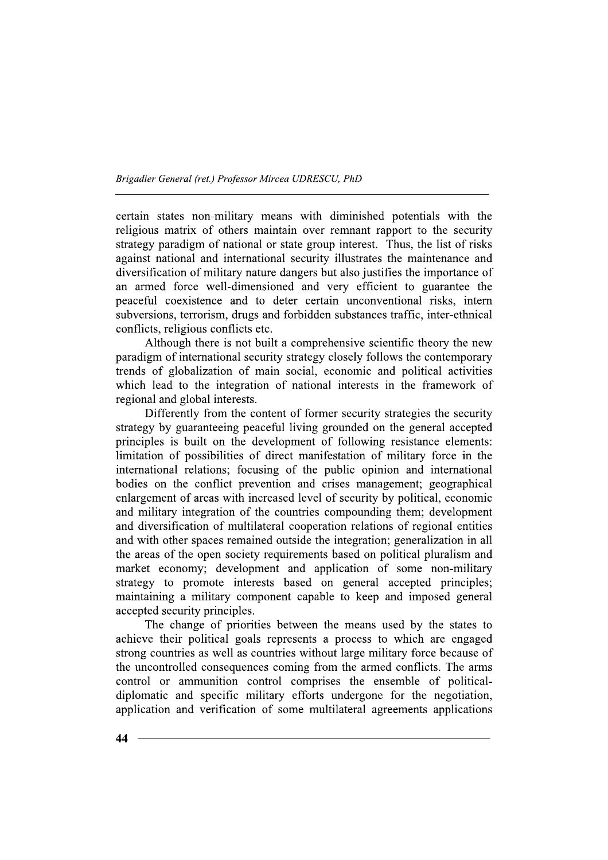certain states non-military means with diminished potentials with the religious matrix of others maintain over remnant rapport to the security strategy paradigm of national or state group interest. Thus, the list of risks against national and international security illustrates the maintenance and diversification of military nature dangers but also justifies the importance of an armed force well-dimensioned and very efficient to guarantee the peaceful coexistence and to deter certain unconventional risks, intern subversions, terrorism, drugs and forbidden substances traffic, inter-ethnical conflicts, religious conflicts etc.

Although there is not built a comprehensive scientific theory the new paradigm of international security strategy closely follows the contemporary trends of globalization of main social, economic and political activities which lead to the integration of national interests in the framework of regional and global interests.

Differently from the content of former security strategies the security strategy by guaranteeing peaceful living grounded on the general accepted principles is built on the development of following resistance elements: limitation of possibilities of direct manifestation of military force in the international relations; focusing of the public opinion and international bodies on the conflict prevention and crises management; geographical enlargement of areas with increased level of security by political, economic and military integration of the countries compounding them; development and diversification of multilateral cooperation relations of regional entities and with other spaces remained outside the integration; generalization in all the areas of the open society requirements based on political pluralism and market economy; development and application of some non-military strategy to promote interests based on general accepted principles; maintaining a military component capable to keep and imposed general accepted security principles.

The change of priorities between the means used by the states to achieve their political goals represents a process to which are engaged strong countries as well as countries without large military force because of the uncontrolled consequences coming from the armed conflicts. The arms control or ammunition control comprises the ensemble of politicaldiplomatic and specific military efforts undergone for the negotiation, application and verification of some multilateral agreements applications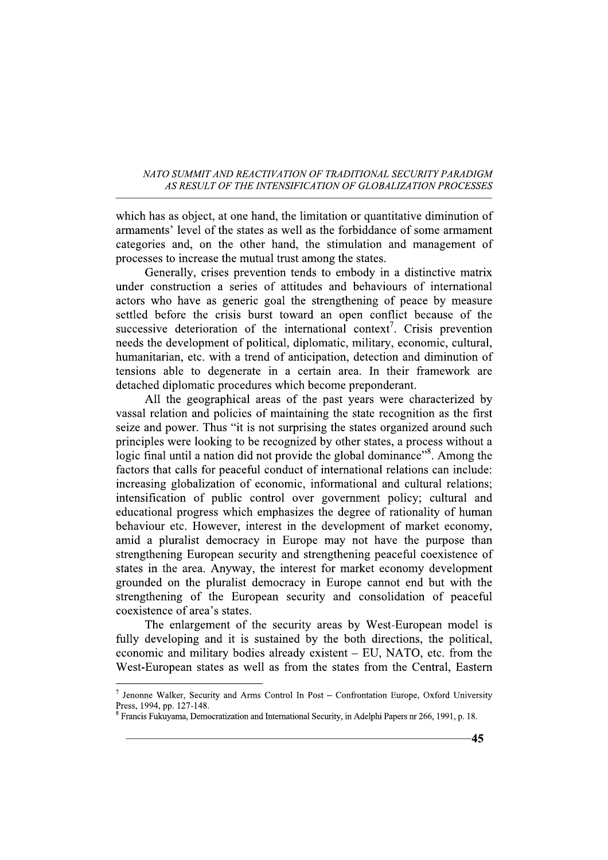which has as object, at one hand, the limitation or quantitative diminution of armaments' level of the states as well as the forbiddance of some armament categories and, on the other hand, the stimulation and management of processes to increase the mutual trust among the states.

Generally, crises prevention tends to embody in a distinctive matrix under construction a series of attitudes and behaviours of international actors who have as generic goal the strengthening of peace by measure settled before the crisis burst toward an open conflict because of the successive deterioration of the international context<sup>7</sup>. Crisis prevention needs the development of political, diplomatic, military, economic, cultural, humanitarian, etc. with a trend of anticipation, detection and diminution of tensions able to degenerate in a certain area. In their framework are detached diplomatic procedures which become preponderant.

All the geographical areas of the past years were characterized by vassal relation and policies of maintaining the state recognition as the first seize and power. Thus "it is not surprising the states organized around such principles were looking to be recognized by other states, a process without a logic final until a nation did not provide the global dominance<sup>38</sup>. Among the factors that calls for peaceful conduct of international relations can include: increasing globalization of economic, informational and cultural relations; intensification of public control over government policy; cultural and educational progress which emphasizes the degree of rationality of human behaviour etc. However, interest in the development of market economy, amid a pluralist democracy in Europe may not have the purpose than strengthening European security and strengthening peaceful coexistence of states in the area. Anyway, the interest for market economy development grounded on the pluralist democracy in Europe cannot end but with the strengthening of the European security and consolidation of peaceful coexistence of area's states.

The enlargement of the security areas by West-European model is fully developing and it is sustained by the both directions, the political, economic and military bodies already existent - EU, NATO, etc. from the West-European states as well as from the states from the Central, Eastern

<sup>&</sup>lt;sup>7</sup> Jenonne Walker, Security and Arms Control In Post – Confrontation Europe, Oxford University Press, 1994, pp. 127-148.

 $8$  Francis Fukuyama, Democratization and International Security, in Adelphi Papers nr 266, 1991, p. 18.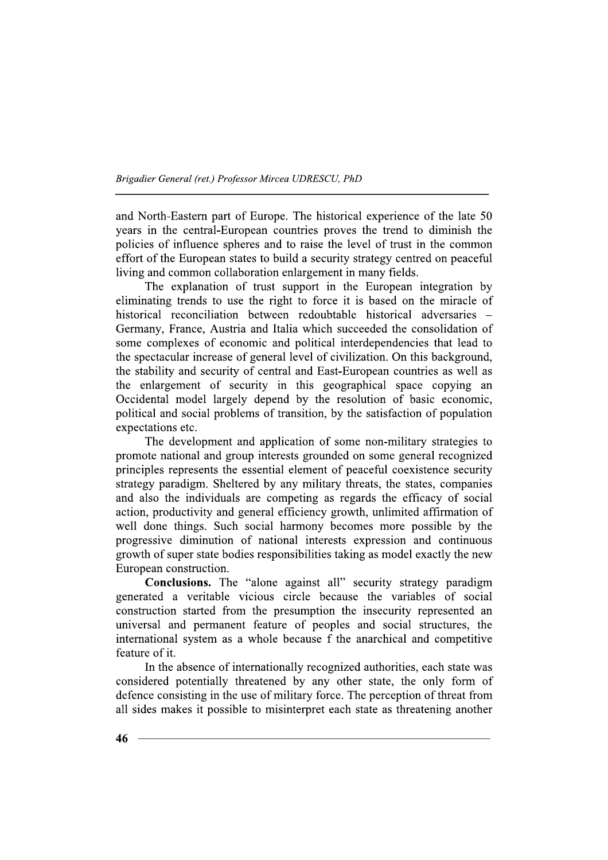and North-Eastern part of Europe. The historical experience of the late 50 years in the central-European countries proves the trend to diminish the policies of influence spheres and to raise the level of trust in the common effort of the European states to build a security strategy centred on peaceful living and common collaboration enlargement in many fields.

The explanation of trust support in the European integration by eliminating trends to use the right to force it is based on the miracle of historical reconciliation between redoubtable historical adversaries -Germany, France, Austria and Italia which succeeded the consolidation of some complexes of economic and political interdependencies that lead to the spectacular increase of general level of civilization. On this background, the stability and security of central and East-European countries as well as the enlargement of security in this geographical space copying an Occidental model largely depend by the resolution of basic economic, political and social problems of transition, by the satisfaction of population expectations etc.

The development and application of some non-military strategies to promote national and group interests grounded on some general recognized principles represents the essential element of peaceful coexistence security strategy paradigm. Sheltered by any military threats, the states, companies and also the individuals are competing as regards the efficacy of social action, productivity and general efficiency growth, unlimited affirmation of well done things. Such social harmony becomes more possible by the progressive diminution of national interests expression and continuous growth of super state bodies responsibilities taking as model exactly the new European construction.

Conclusions. The "alone against all" security strategy paradigm generated a veritable vicious circle because the variables of social construction started from the presumption the insecurity represented an universal and permanent feature of peoples and social structures, the international system as a whole because f the anarchical and competitive feature of it.

In the absence of internationally recognized authorities, each state was considered potentially threatened by any other state, the only form of defence consisting in the use of military force. The perception of threat from all sides makes it possible to misinterpret each state as threatening another

 $46 -$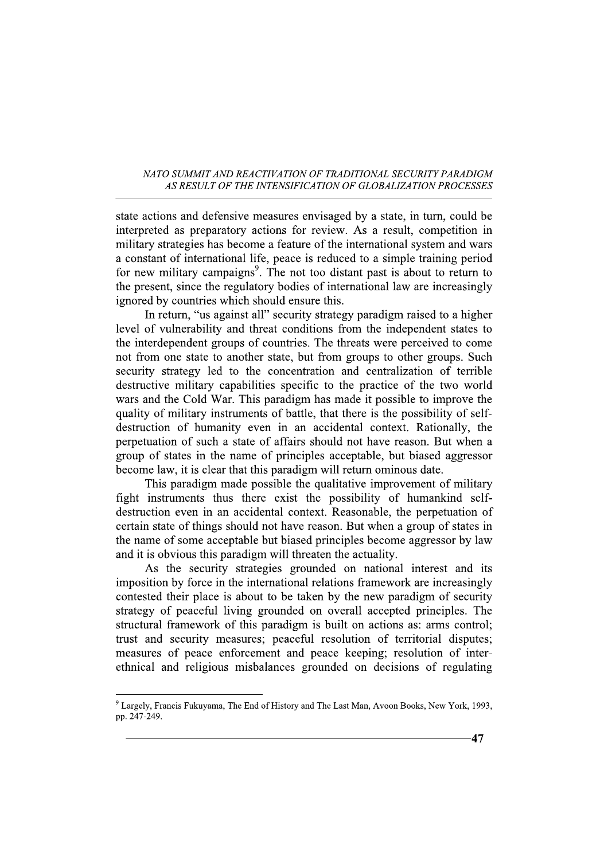state actions and defensive measures envisaged by a state, in turn, could be interpreted as preparatory actions for review. As a result, competition in military strategies has become a feature of the international system and wars a constant of international life, peace is reduced to a simple training period for new military campaigns<sup>9</sup>. The not too distant past is about to return to the present, since the regulatory bodies of international law are increasingly ignored by countries which should ensure this.

In return, "us against all" security strategy paradigm raised to a higher level of vulnerability and threat conditions from the independent states to the interdependent groups of countries. The threats were perceived to come not from one state to another state, but from groups to other groups. Such security strategy led to the concentration and centralization of terrible destructive military capabilities specific to the practice of the two world wars and the Cold War. This paradigm has made it possible to improve the quality of military instruments of battle, that there is the possibility of selfdestruction of humanity even in an accidental context. Rationally, the perpetuation of such a state of affairs should not have reason. But when a group of states in the name of principles acceptable, but biased aggressor become law, it is clear that this paradigm will return ominous date.

This paradigm made possible the qualitative improvement of military fight instruments thus there exist the possibility of humankind selfdestruction even in an accidental context. Reasonable, the perpetuation of certain state of things should not have reason. But when a group of states in the name of some acceptable but biased principles become aggressor by law and it is obvious this paradigm will threaten the actuality.

As the security strategies grounded on national interest and its imposition by force in the international relations framework are increasingly contested their place is about to be taken by the new paradigm of security strategy of peaceful living grounded on overall accepted principles. The structural framework of this paradigm is built on actions as: arms control; trust and security measures; peaceful resolution of territorial disputes; measures of peace enforcement and peace keeping; resolution of interethnical and religious misbalances grounded on decisions of regulating

<sup>&</sup>lt;sup>9</sup> Largely, Francis Fukuyama, The End of History and The Last Man, Avoon Books, New York, 1993, pp. 247-249.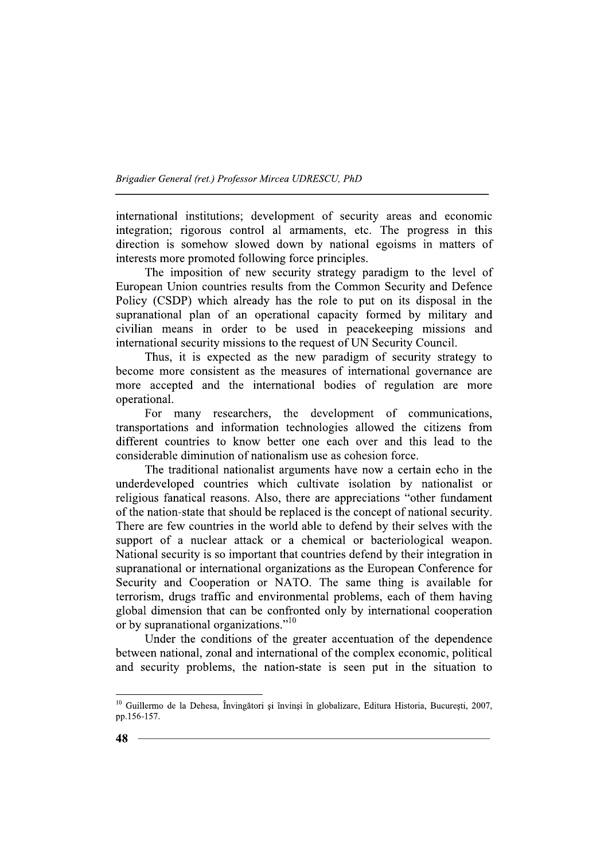international institutions; development of security areas and economic integration; rigorous control al armaments, etc. The progress in this direction is somehow slowed down by national egoisms in matters of interests more promoted following force principles.

The imposition of new security strategy paradigm to the level of European Union countries results from the Common Security and Defence Policy (CSDP) which already has the role to put on its disposal in the supranational plan of an operational capacity formed by military and civilian means in order to be used in peacekeeping missions and international security missions to the request of UN Security Council.

Thus, it is expected as the new paradigm of security strategy to become more consistent as the measures of international governance are more accepted and the international bodies of regulation are more operational.

For many researchers, the development of communications, transportations and information technologies allowed the citizens from different countries to know better one each over and this lead to the considerable diminution of nationalism use as cohesion force.

The traditional nationalist arguments have now a certain echo in the underdeveloped countries which cultivate isolation by nationalist or religious fanatical reasons. Also, there are appreciations "other fundament of the nation-state that should be replaced is the concept of national security. There are few countries in the world able to defend by their selves with the support of a nuclear attack or a chemical or bacteriological weapon. National security is so important that countries defend by their integration in supranational or international organizations as the European Conference for Security and Cooperation or NATO. The same thing is available for terrorism, drugs traffic and environmental problems, each of them having global dimension that can be confronted only by international cooperation or by supranational organizations."<sup>10</sup>

Under the conditions of the greater accentuation of the dependence between national, zonal and international of the complex economic, political and security problems, the nation-state is seen put in the situation to

<sup>&</sup>lt;sup>10</sup> Guillermo de la Dehesa, Învingători și învinși în globalizare, Editura Historia, București, 2007, pp.156-157.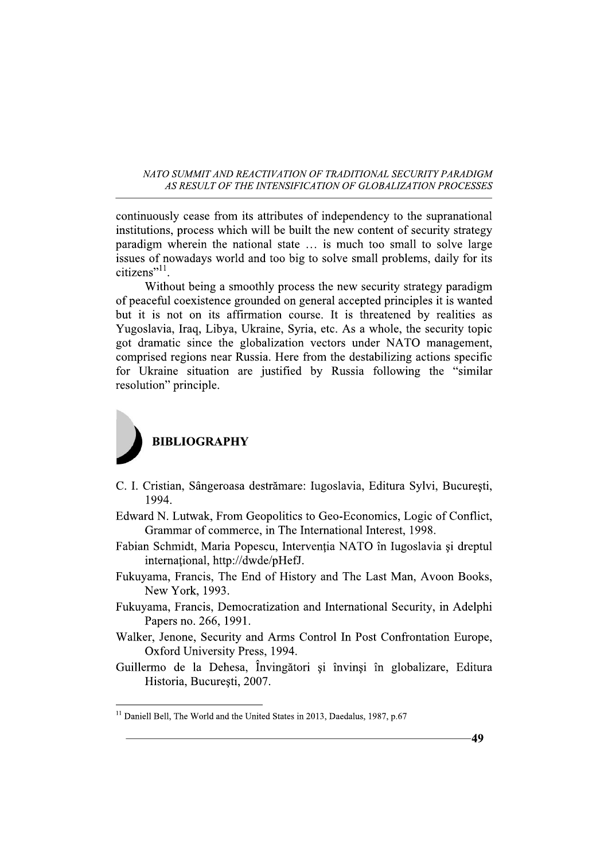continuously cease from its attributes of independency to the supranational institutions, process which will be built the new content of security strategy paradigm wherein the national state ... is much too small to solve large issues of nowadays world and too big to solve small problems, daily for its citizens" $^{11}$ .

Without being a smoothly process the new security strategy paradigm of peaceful coexistence grounded on general accepted principles it is wanted but it is not on its affirmation course. It is threatened by realities as Yugoslavia, Iraq, Libya, Ukraine, Syria, etc. As a whole, the security topic got dramatic since the globalization vectors under NATO management, comprised regions near Russia. Here from the destabilizing actions specific for Ukraine situation are justified by Russia following the "similar resolution" principle.



- C. I. Cristian, Sângeroasa destrămare: Iugoslavia, Editura Sylvi, București, 1994.
- Edward N. Lutwak, From Geopolitics to Geo-Economics, Logic of Conflict, Grammar of commerce, in The International Interest, 1998.
- Fabian Schmidt, Maria Popescu, Intervenția NATO în Iugoslavia și dreptul international, http://dwde/pHefJ.
- Fukuyama, Francis, The End of History and The Last Man, Avoon Books, New York, 1993.
- Fukuyama, Francis, Democratization and International Security, in Adelphi Papers no. 266, 1991.
- Walker, Jenone, Security and Arms Control In Post Confrontation Europe, Oxford University Press, 1994.
- Guillermo de la Dehesa, Învingători și învinsi în globalizare, Editura Historia, București, 2007.

 $11$  Daniell Bell, The World and the United States in 2013, Daedalus, 1987, p.67